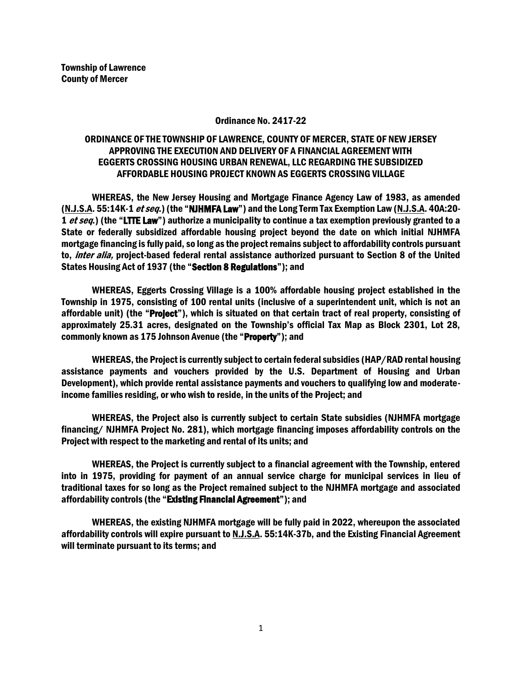## Ordinance No. 2417-22

## ORDINANCE OF THE TOWNSHIP OF LAWRENCE, COUNTY OF MERCER, STATE OF NEW JERSEY APPROVING THE EXECUTION AND DELIVERY OF A FINANCIAL AGREEMENT WITH EGGERTS CROSSING HOUSING URBAN RENEWAL, LLC REGARDING THE SUBSIDIZED AFFORDABLE HOUSING PROJECT KNOWN AS EGGERTS CROSSING VILLAGE

WHEREAS, the New Jersey Housing and Mortgage Finance Agency Law of 1983, as amended (N.J.S.A. 55:14K-1 *et seq.*) (the "NJHMFA Law") and the Long Term Tax Exemption Law (N.J.S.A. 40A:20-1 et seq.) (the "LTTE Law") authorize a municipality to continue a tax exemption previously granted to a State or federally subsidized affordable housing project beyond the date on which initial NJHMFA mortgage financing is fully paid, so long as the project remains subject to affordability controls pursuant to, *inter alia*, project-based federal rental assistance authorized pursuant to Section 8 of the United States Housing Act of 1937 (the "Section 8 Regulations"); and

WHEREAS, Eggerts Crossing Village is a 100% affordable housing project established in the Township in 1975, consisting of 100 rental units (inclusive of a superintendent unit, which is not an affordable unit) (the "Project"), which is situated on that certain tract of real property, consisting of approximately 25.31 acres, designated on the Township's official Tax Map as Block 2301, Lot 28, commonly known as 175 Johnson Avenue (the "Property"); and

WHEREAS, the Project is currently subject to certain federal subsidies (HAP/RAD rental housing assistance payments and vouchers provided by the U.S. Department of Housing and Urban Development), which provide rental assistance payments and vouchers to qualifying low and moderateincome families residing, or who wish to reside, in the units of the Project; and

WHEREAS, the Project also is currently subject to certain State subsidies (NJHMFA mortgage financing/ NJHMFA Project No. 281), which mortgage financing imposes affordability controls on the Project with respect to the marketing and rental of its units; and

WHEREAS, the Project is currently subject to a financial agreement with the Township, entered into in 1975, providing for payment of an annual service charge for municipal services in lieu of traditional taxes for so long as the Project remained subject to the NJHMFA mortgage and associated affordability controls (the "Existing Financial Agreement"); and

WHEREAS, the existing NJHMFA mortgage will be fully paid in 2022, whereupon the associated affordability controls will expire pursuant to N.J.S.A. 55:14K-37b, and the Existing Financial Agreement will terminate pursuant to its terms; and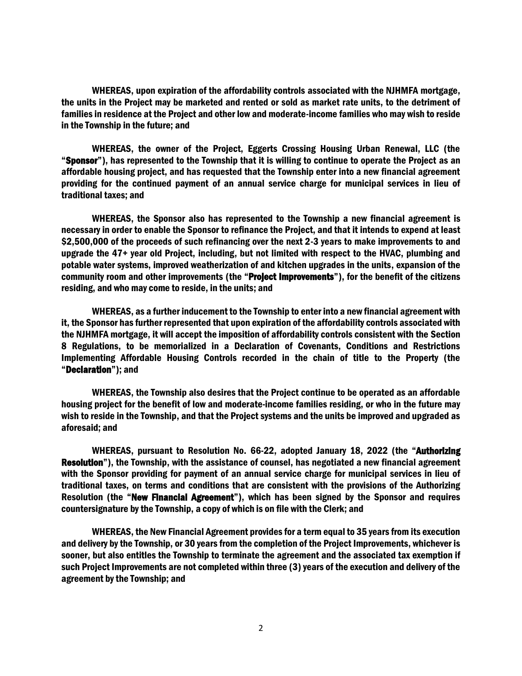WHEREAS, upon expiration of the affordability controls associated with the NJHMFA mortgage, the units in the Project may be marketed and rented or sold as market rate units, to the detriment of families in residence at the Project and other low and moderate-income families who may wish to reside in the Township in the future; and

WHEREAS, the owner of the Project, Eggerts Crossing Housing Urban Renewal, LLC (the "Sponsor"), has represented to the Township that it is willing to continue to operate the Project as an affordable housing project, and has requested that the Township enter into a new financial agreement providing for the continued payment of an annual service charge for municipal services in lieu of traditional taxes; and

WHEREAS, the Sponsor also has represented to the Township a new financial agreement is necessary in order to enable the Sponsor to refinance the Project, and that it intends to expend at least \$2,500,000 of the proceeds of such refinancing over the next 2-3 years to make improvements to and upgrade the 47+ year old Project, including, but not limited with respect to the HVAC, plumbing and potable water systems, improved weatherization of and kitchen upgrades in the units, expansion of the community room and other improvements (the "Project Improvements"), for the benefit of the citizens residing, and who may come to reside, in the units; and

WHEREAS, as a further inducement to the Township to enter into a new financial agreement with it, the Sponsor has further represented that upon expiration of the affordability controls associated with the NJHMFA mortgage, it will accept the imposition of affordability controls consistent with the Section 8 Regulations, to be memorialized in a Declaration of Covenants, Conditions and Restrictions Implementing Affordable Housing Controls recorded in the chain of title to the Property (the "Declaration"); and

WHEREAS, the Township also desires that the Project continue to be operated as an affordable housing project for the benefit of low and moderate-income families residing, or who in the future may wish to reside in the Township, and that the Project systems and the units be improved and upgraded as aforesaid; and

WHEREAS, pursuant to Resolution No. 66-22, adopted January 18, 2022 (the "Authorizing Resolution"), the Township, with the assistance of counsel, has negotiated a new financial agreement with the Sponsor providing for payment of an annual service charge for municipal services in lieu of traditional taxes, on terms and conditions that are consistent with the provisions of the Authorizing Resolution (the "New Financial Agreement"), which has been signed by the Sponsor and requires countersignature by the Township, a copy of which is on file with the Clerk; and

WHEREAS, the New Financial Agreement provides for a term equal to 35 years from its execution and delivery by the Township, or 30 years from the completion of the Project Improvements, whichever is sooner, but also entitles the Township to terminate the agreement and the associated tax exemption if such Project Improvements are not completed within three (3) years of the execution and delivery of the agreement by the Township; and